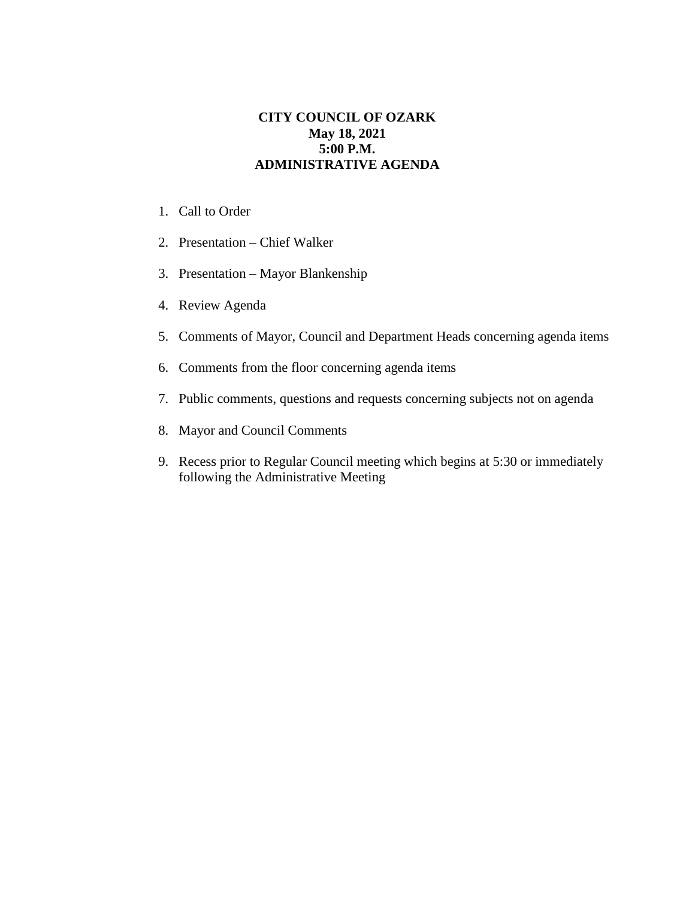## **CITY COUNCIL OF OZARK May 18, 2021 5:00 P.M. ADMINISTRATIVE AGENDA**

- 1. Call to Order
- 2. Presentation Chief Walker
- 3. Presentation Mayor Blankenship
- 4. Review Agenda
- 5. Comments of Mayor, Council and Department Heads concerning agenda items
- 6. Comments from the floor concerning agenda items
- 7. Public comments, questions and requests concerning subjects not on agenda
- 8. Mayor and Council Comments
- 9. Recess prior to Regular Council meeting which begins at 5:30 or immediately following the Administrative Meeting